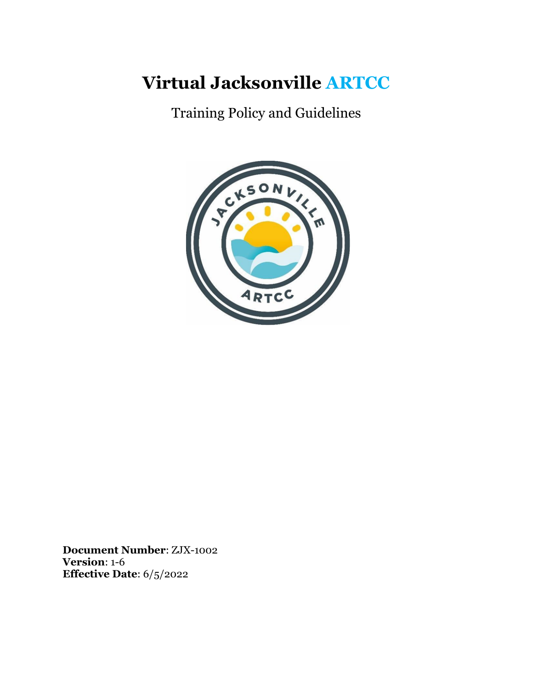# **Virtual Jacksonville ARTCC**

Training Policy and Guidelines



**Document Number**: ZJX-1002 **Version**: 1-6 **Effective Date**: 6/5/2022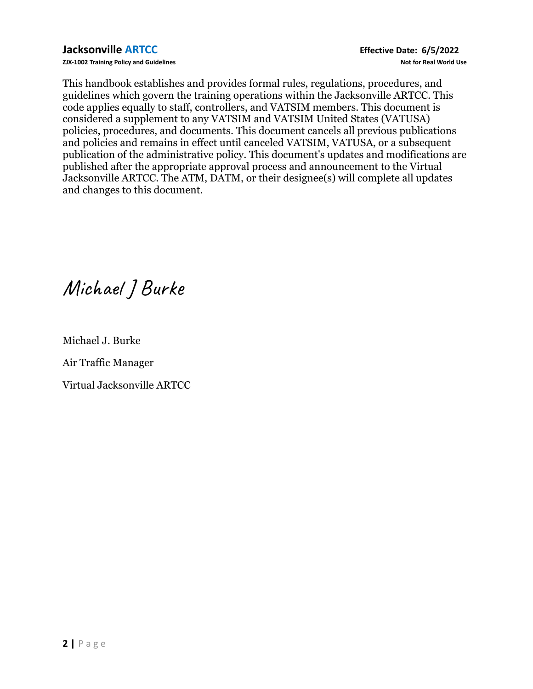**ZJX-1002 Training Policy and Guidelines Not for Real World Use**

This handbook establishes and provides formal rules, regulations, procedures, and guidelines which govern the training operations within the Jacksonville ARTCC. This code applies equally to staff, controllers, and VATSIM members. This document is considered a supplement to any VATSIM and VATSIM United States (VATUSA) policies, procedures, and documents. This document cancels all previous publications and policies and remains in effect until canceled VATSIM, VATUSA, or a subsequent publication of the administrative policy. This document's updates and modifications are published after the appropriate approval process and announcement to the Virtual Jacksonville ARTCC. The ATM, DATM, or their designee(s) will complete all updates and changes to this document.

Michael JBurke

Michael J. Burke

Air Traffic Manager

Virtual Jacksonville ARTCC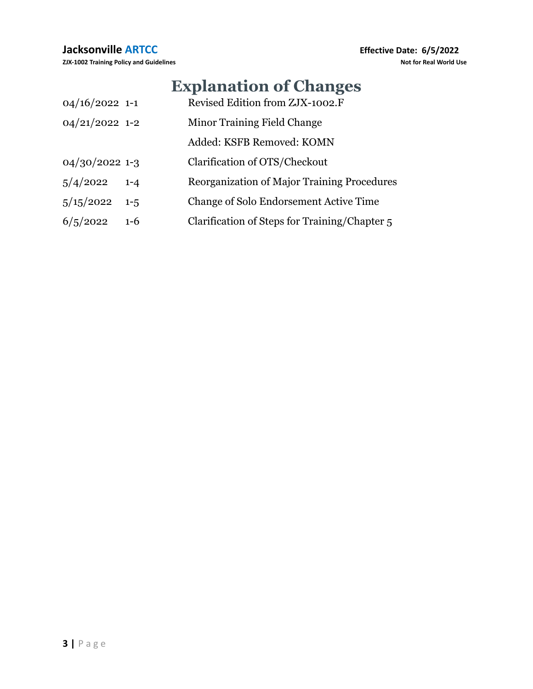# **Explanation of Changes**

| $04/16/2022$ 1-1 |         | Revised Edition from ZJX-1002.F                    |
|------------------|---------|----------------------------------------------------|
| $04/21/2022$ 1-2 |         | Minor Training Field Change                        |
|                  |         | Added: KSFB Removed: KOMN                          |
| $04/30/2022$ 1-3 |         | Clarification of OTS/Checkout                      |
| 5/4/2022         | $1 - 4$ | <b>Reorganization of Major Training Procedures</b> |
| 5/15/2022        | $1 - 5$ | Change of Solo Endorsement Active Time             |
| 6/5/2022         | $1-6$   | Clarification of Steps for Training/Chapter 5      |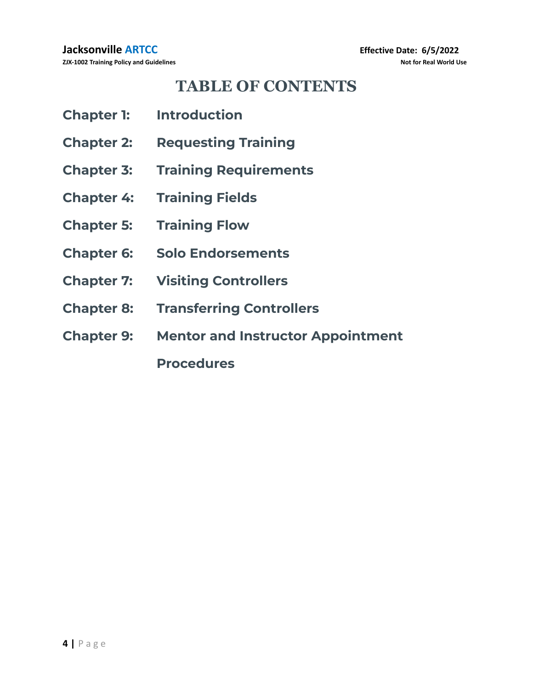# **TABLE OF CONTENTS**

| <b>Chapter 1:</b> | <b>Introduction</b>                      |
|-------------------|------------------------------------------|
| <b>Chapter 2:</b> | <b>Requesting Training</b>               |
| <b>Chapter 3:</b> | <b>Training Requirements</b>             |
| <b>Chapter 4:</b> | <b>Training Fields</b>                   |
| <b>Chapter 5:</b> | <b>Training Flow</b>                     |
| <b>Chapter 6:</b> | <b>Solo Endorsements</b>                 |
| <b>Chapter 7:</b> | <b>Visiting Controllers</b>              |
| <b>Chapter 8:</b> | <b>Transferring Controllers</b>          |
| <b>Chapter 9:</b> | <b>Mentor and Instructor Appointment</b> |
|                   | <b>Procedures</b>                        |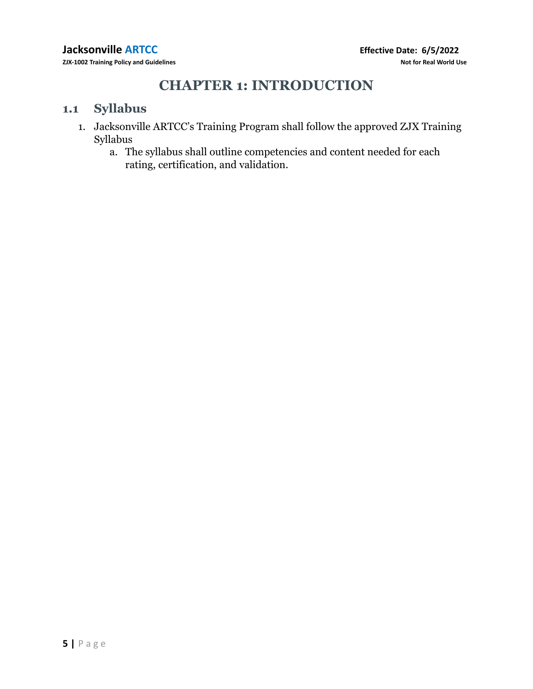# **CHAPTER 1: INTRODUCTION**

#### **1.1 Syllabus**

- 1. Jacksonville ARTCC's Training Program shall follow the approved ZJX Training Syllabus
	- a. The syllabus shall outline competencies and content needed for each rating, certification, and validation.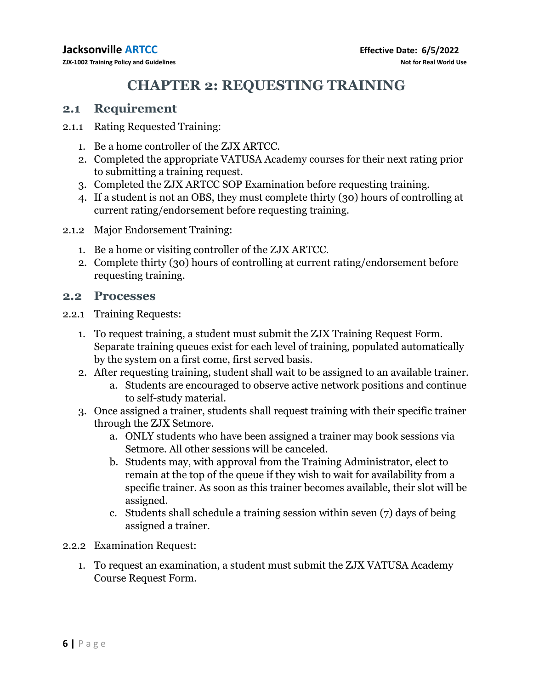# **CHAPTER 2: REQUESTING TRAINING**

## **2.1 Requirement**

- 2.1.1 Rating Requested Training:
	- 1. Be a home controller of the ZJX ARTCC.
	- 2. Completed the appropriate VATUSA Academy courses for their next rating prior to submitting a training request.
	- 3. Completed the ZJX ARTCC SOP Examination before requesting training.
	- 4. If a student is not an OBS, they must complete thirty (30) hours of controlling at current rating/endorsement before requesting training.
- 2.1.2 Major Endorsement Training:
	- 1. Be a home or visiting controller of the ZJX ARTCC.
	- 2. Complete thirty (30) hours of controlling at current rating/endorsement before requesting training.

### **2.2 Processes**

- 2.2.1 Training Requests:
	- 1. To request training, a student must submit the ZJX Training Request Form. Separate training queues exist for each level of training, populated automatically by the system on a first come, first served basis.
	- 2. After requesting training, student shall wait to be assigned to an available trainer.
		- a. Students are encouraged to observe active network positions and continue to self-study material.
	- 3. Once assigned a trainer, students shall request training with their specific trainer through the ZJX Setmore.
		- a. ONLY students who have been assigned a trainer may book sessions via Setmore. All other sessions will be canceled.
		- b. Students may, with approval from the Training Administrator, elect to remain at the top of the queue if they wish to wait for availability from a specific trainer. As soon as this trainer becomes available, their slot will be assigned.
		- c. Students shall schedule a training session within seven (7) days of being assigned a trainer.
- 2.2.2 Examination Request:
	- 1. To request an examination, a student must submit the ZJX VATUSA Academy Course Request Form.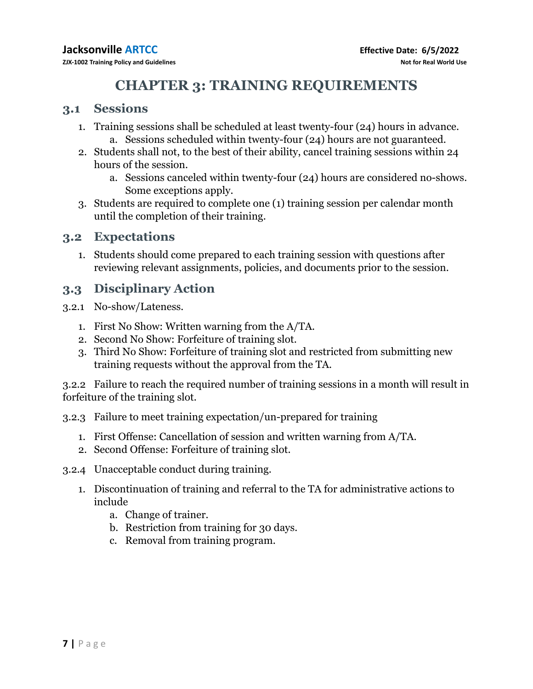# **CHAPTER 3: TRAINING REQUIREMENTS**

#### **3.1 Sessions**

- 1. Training sessions shall be scheduled at least twenty-four (24) hours in advance. a. Sessions scheduled within twenty-four (24) hours are not guaranteed.
- 2. Students shall not, to the best of their ability, cancel training sessions within 24 hours of the session.
	- a. Sessions canceled within twenty-four (24) hours are considered no-shows. Some exceptions apply.
- 3. Students are required to complete one (1) training session per calendar month until the completion of their training.

#### **3.2 Expectations**

1. Students should come prepared to each training session with questions after reviewing relevant assignments, policies, and documents prior to the session.

#### **3.3 Disciplinary Action**

- 3.2.1 No-show/Lateness.
	- 1. First No Show: Written warning from the A/TA.
	- 2. Second No Show: Forfeiture of training slot.
	- 3. Third No Show: Forfeiture of training slot and restricted from submitting new training requests without the approval from the TA.

3.2.2 Failure to reach the required number of training sessions in a month will result in forfeiture of the training slot.

- 3.2.3 Failure to meet training expectation/un-prepared for training
	- 1. First Offense: Cancellation of session and written warning from A/TA.
	- 2. Second Offense: Forfeiture of training slot.
- 3.2.4 Unacceptable conduct during training.
	- 1. Discontinuation of training and referral to the TA for administrative actions to include
		- a. Change of trainer.
		- b. Restriction from training for 30 days.
		- c. Removal from training program.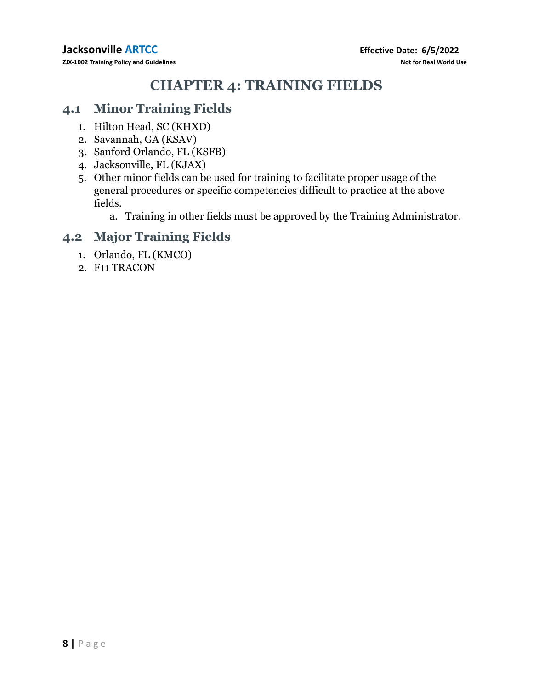# **CHAPTER 4: TRAINING FIELDS**

#### **4.1 Minor Training Fields**

- 1. Hilton Head, SC (KHXD)
- 2. Savannah, GA (KSAV)
- 3. Sanford Orlando, FL (KSFB)
- 4. Jacksonville, FL (KJAX)
- 5. Other minor fields can be used for training to facilitate proper usage of the general procedures or specific competencies difficult to practice at the above fields.
	- a. Training in other fields must be approved by the Training Administrator.

## **4.2 Major Training Fields**

- 1. Orlando, FL (KMCO)
- 2. F11 TRACON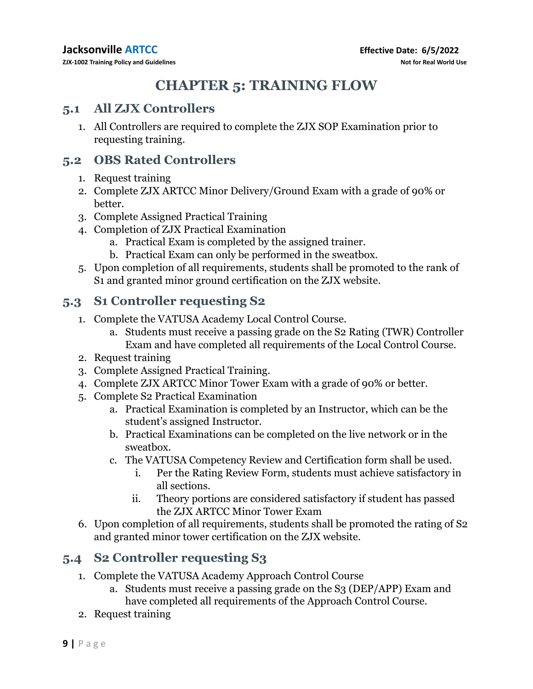# **CHAPTER 5: TRAINING FLOW**

#### **5.1 All ZJX Controllers**

1. All Controllers are required to complete the ZJX SOP Examination prior to requesting training.

### **5.2 OBS Rated Controllers**

- 1. Request training
- 2. Complete ZJX ARTCC Minor Delivery/Ground Exam with a grade of 90% or better.
- 3. Complete Assigned Practical Training
- 4. Completion of ZJX Practical Examination
	- a. Practical Exam is completed by the assigned trainer.
	- b. Practical Exam can only be performed in the sweatbox.
- 5. Upon completion of all requirements, students shall be promoted to the rank of S1 and granted minor ground certification on the ZJX website.

## **5.3 S1 Controller requesting S2**

- 1. Complete the VATUSA Academy Local Control Course.
	- a. Students must receive a passing grade on the S2 Rating (TWR) Controller Exam and have completed all requirements of the Local Control Course.
- 2. Request training
- 3. Complete Assigned Practical Training.
- 4. Complete ZJX ARTCC Minor Tower Exam with a grade of 90% or better.
- 5. Complete S2 Practical Examination
	- a. Practical Examination is completed by an Instructor, which can be the student's assigned Instructor.
	- b. Practical Examinations can be completed on the live network or in the sweatbox.
	- c. The VATUSA Competency Review and Certification form shall be used.
		- i. Per the Rating Review Form, students must achieve satisfactory in all sections.
		- ii. Theory portions are considered satisfactory if student has passed the ZJX ARTCC Minor Tower Exam
- 6. Upon completion of all requirements, students shall be promoted the rating of S2 and granted minor tower certification on the ZJX website.

## **5.4 S2 Controller requesting S3**

- 1. Complete the VATUSA Academy Approach Control Course
	- a. Students must receive a passing grade on the S3 (DEP/APP) Exam and have completed all requirements of the Approach Control Course.
- 2. Request training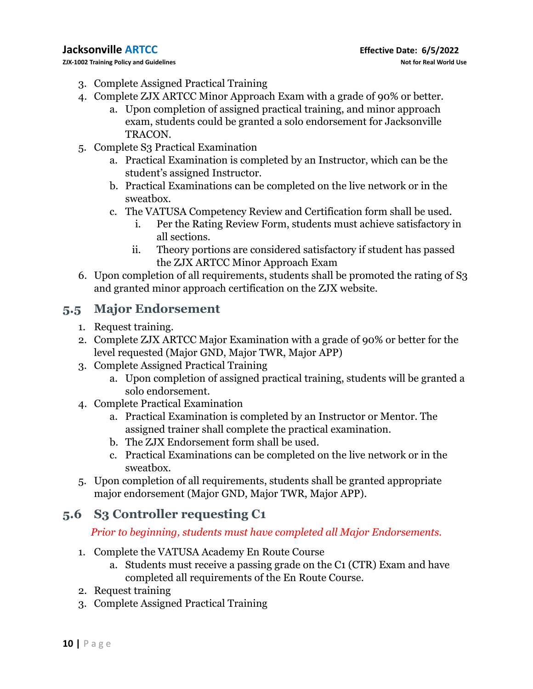**ZJX-1002 Training Policy and Guidelines Not for Real World Use**

- 3. Complete Assigned Practical Training
- 4. Complete ZJX ARTCC Minor Approach Exam with a grade of 90% or better.
	- a. Upon completion of assigned practical training, and minor approach exam, students could be granted a solo endorsement for Jacksonville TRACON.
- 5. Complete S3 Practical Examination
	- a. Practical Examination is completed by an Instructor, which can be the student's assigned Instructor.
	- b. Practical Examinations can be completed on the live network or in the sweatbox.
	- c. The VATUSA Competency Review and Certification form shall be used.
		- i. Per the Rating Review Form, students must achieve satisfactory in all sections.
		- ii. Theory portions are considered satisfactory if student has passed the ZJX ARTCC Minor Approach Exam
- 6. Upon completion of all requirements, students shall be promoted the rating of S3 and granted minor approach certification on the ZJX website.

## **5.5 Major Endorsement**

- 1. Request training.
- 2. Complete ZJX ARTCC Major Examination with a grade of 90% or better for the level requested (Major GND, Major TWR, Major APP)
- 3. Complete Assigned Practical Training
	- a. Upon completion of assigned practical training, students will be granted a solo endorsement.
- 4. Complete Practical Examination
	- a. Practical Examination is completed by an Instructor or Mentor. The assigned trainer shall complete the practical examination.
	- b. The ZJX Endorsement form shall be used.
	- c. Practical Examinations can be completed on the live network or in the sweatbox.
- 5. Upon completion of all requirements, students shall be granted appropriate major endorsement (Major GND, Major TWR, Major APP).

## **5.6 S3 Controller requesting C1**

#### *Prior to beginning, students must have completed all Major Endorsements.*

- 1. Complete the VATUSA Academy En Route Course
	- a. Students must receive a passing grade on the C1 (CTR) Exam and have completed all requirements of the En Route Course.
- 2. Request training
- 3. Complete Assigned Practical Training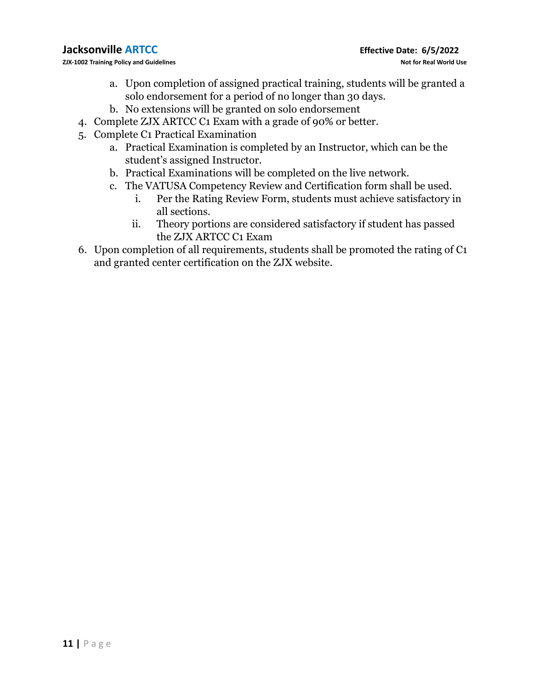**ZJX-1002 Training Policy and Guidelines Not for Real World Use**

- a. Upon completion of assigned practical training, students will be granted a solo endorsement for a period of no longer than 30 days.
- b. No extensions will be granted on solo endorsement
- 4. Complete ZJX ARTCC C1 Exam with a grade of 90% or better.
- 5. Complete C1 Practical Examination
	- a. Practical Examination is completed by an Instructor, which can be the student's assigned Instructor.
	- b. Practical Examinations will be completed on the live network.
	- c. The VATUSA Competency Review and Certification form shall be used.
		- i. Per the Rating Review Form, students must achieve satisfactory in all sections.
		- ii. Theory portions are considered satisfactory if student has passed the ZJX ARTCC C1 Exam
- 6. Upon completion of all requirements, students shall be promoted the rating of C1 and granted center certification on the ZJX website.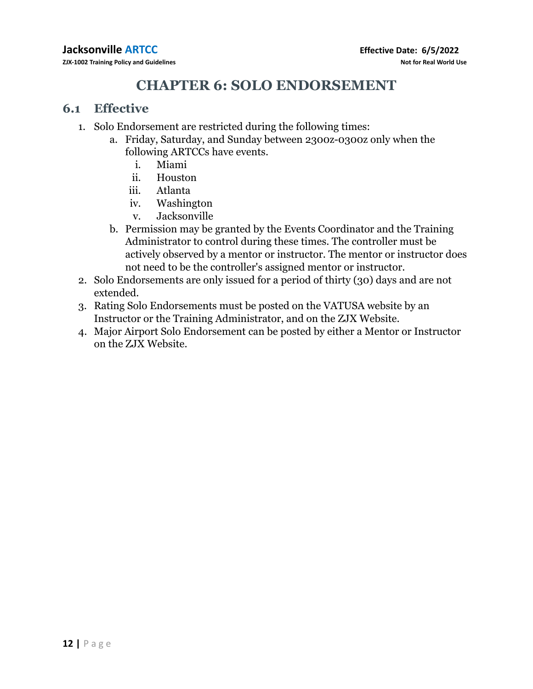# **CHAPTER 6: SOLO ENDORSEMENT**

#### **6.1 Effective**

- 1. Solo Endorsement are restricted during the following times:
	- a. Friday, Saturday, and Sunday between 2300z-0300z only when the following ARTCCs have events.
		- i. Miami
		- ii. Houston
		- iii. Atlanta
		- iv. Washington
		- v. Jacksonville
	- b. Permission may be granted by the Events Coordinator and the Training Administrator to control during these times. The controller must be actively observed by a mentor or instructor. The mentor or instructor does not need to be the controller's assigned mentor or instructor.
- 2. Solo Endorsements are only issued for a period of thirty (30) days and are not extended.
- 3. Rating Solo Endorsements must be posted on the VATUSA website by an Instructor or the Training Administrator, and on the ZJX Website.
- 4. Major Airport Solo Endorsement can be posted by either a Mentor or Instructor on the ZJX Website.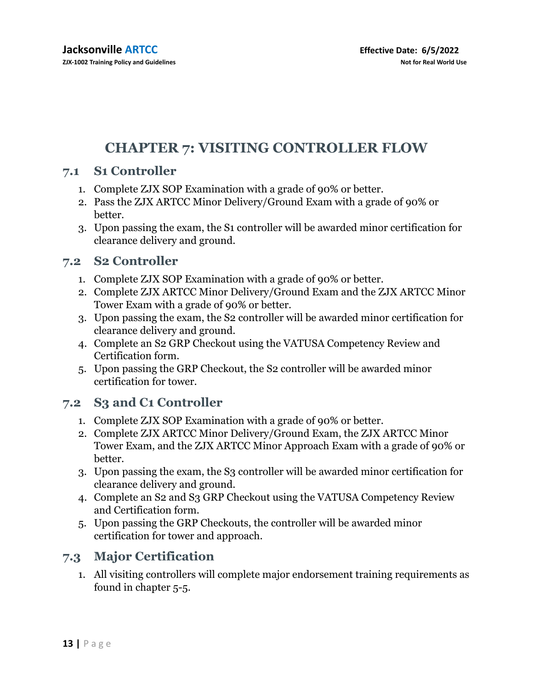# **CHAPTER 7: VISITING CONTROLLER FLOW**

#### **7.1 S1 Controller**

- 1. Complete ZJX SOP Examination with a grade of 90% or better.
- 2. Pass the ZJX ARTCC Minor Delivery/Ground Exam with a grade of 90% or better.
- 3. Upon passing the exam, the S1 controller will be awarded minor certification for clearance delivery and ground.

#### **7.2 S2 Controller**

- 1. Complete ZJX SOP Examination with a grade of 90% or better.
- 2. Complete ZJX ARTCC Minor Delivery/Ground Exam and the ZJX ARTCC Minor Tower Exam with a grade of 90% or better.
- 3. Upon passing the exam, the S2 controller will be awarded minor certification for clearance delivery and ground.
- 4. Complete an S2 GRP Checkout using the VATUSA Competency Review and Certification form.
- 5. Upon passing the GRP Checkout, the S2 controller will be awarded minor certification for tower.

#### **7.2 S3 and C1 Controller**

- 1. Complete ZJX SOP Examination with a grade of 90% or better.
- 2. Complete ZJX ARTCC Minor Delivery/Ground Exam, the ZJX ARTCC Minor Tower Exam, and the ZJX ARTCC Minor Approach Exam with a grade of 90% or better.
- 3. Upon passing the exam, the S3 controller will be awarded minor certification for clearance delivery and ground.
- 4. Complete an S2 and S3 GRP Checkout using the VATUSA Competency Review and Certification form.
- 5. Upon passing the GRP Checkouts, the controller will be awarded minor certification for tower and approach.

## **7.3 Major Certification**

1. All visiting controllers will complete major endorsement training requirements as found in chapter 5-5.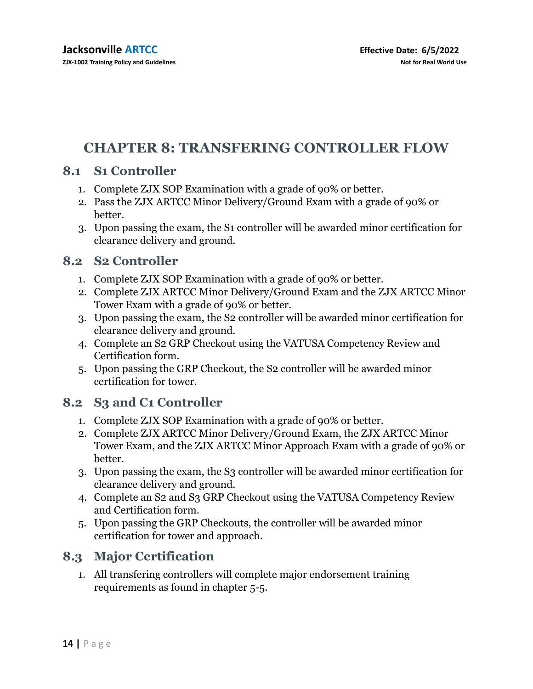# **CHAPTER 8: TRANSFERING CONTROLLER FLOW**

### **8.1 S1 Controller**

- 1. Complete ZJX SOP Examination with a grade of 90% or better.
- 2. Pass the ZJX ARTCC Minor Delivery/Ground Exam with a grade of 90% or better.
- 3. Upon passing the exam, the S1 controller will be awarded minor certification for clearance delivery and ground.

#### **8.2 S2 Controller**

- 1. Complete ZJX SOP Examination with a grade of 90% or better.
- 2. Complete ZJX ARTCC Minor Delivery/Ground Exam and the ZJX ARTCC Minor Tower Exam with a grade of 90% or better.
- 3. Upon passing the exam, the S2 controller will be awarded minor certification for clearance delivery and ground.
- 4. Complete an S2 GRP Checkout using the VATUSA Competency Review and Certification form.
- 5. Upon passing the GRP Checkout, the S2 controller will be awarded minor certification for tower.

## **8.2 S3 and C1 Controller**

- 1. Complete ZJX SOP Examination with a grade of 90% or better.
- 2. Complete ZJX ARTCC Minor Delivery/Ground Exam, the ZJX ARTCC Minor Tower Exam, and the ZJX ARTCC Minor Approach Exam with a grade of 90% or better.
- 3. Upon passing the exam, the S3 controller will be awarded minor certification for clearance delivery and ground.
- 4. Complete an S2 and S3 GRP Checkout using the VATUSA Competency Review and Certification form.
- 5. Upon passing the GRP Checkouts, the controller will be awarded minor certification for tower and approach.

## **8.3 Major Certification**

1. All transfering controllers will complete major endorsement training requirements as found in chapter 5-5.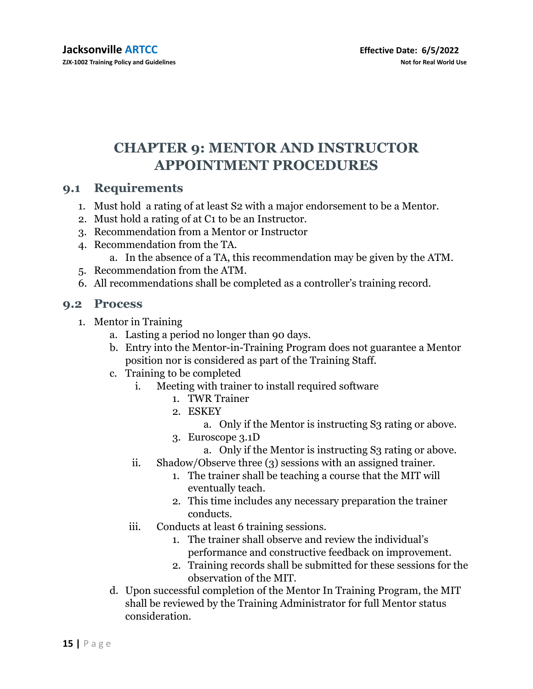# **CHAPTER 9: MENTOR AND INSTRUCTOR APPOINTMENT PROCEDURES**

#### **9.1 Requirements**

- 1. Must hold a rating of at least S2 with a major endorsement to be a Mentor.
- 2. Must hold a rating of at C1 to be an Instructor.
- 3. Recommendation from a Mentor or Instructor
- 4. Recommendation from the TA.
	- a. In the absence of a TA, this recommendation may be given by the ATM.
- 5. Recommendation from the ATM.
- 6. All recommendations shall be completed as a controller's training record.

#### **9.2 Process**

- 1. Mentor in Training
	- a. Lasting a period no longer than 90 days.
	- b. Entry into the Mentor-in-Training Program does not guarantee a Mentor position nor is considered as part of the Training Staff.
	- c. Training to be completed
		- i. Meeting with trainer to install required software
			- 1. TWR Trainer
			- 2. ESKEY
				- a. Only if the Mentor is instructing S3 rating or above.
			- 3. Euroscope 3.1D
				- a. Only if the Mentor is instructing S3 rating or above.
		- ii. Shadow/Observe three (3) sessions with an assigned trainer.
			- 1. The trainer shall be teaching a course that the MIT will eventually teach.
			- 2. This time includes any necessary preparation the trainer conducts.
		- iii. Conducts at least 6 training sessions.
			- 1. The trainer shall observe and review the individual's performance and constructive feedback on improvement.
			- 2. Training records shall be submitted for these sessions for the observation of the MIT.
	- d. Upon successful completion of the Mentor In Training Program, the MIT shall be reviewed by the Training Administrator for full Mentor status consideration.